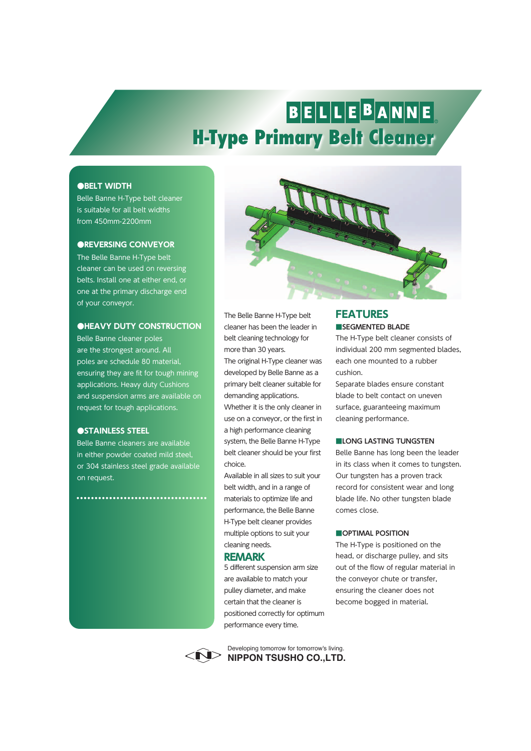# BELLEBANNE **H-Type Primary Belt Cleaner**

### **●BELT WIDTH**

Belle Banne H-Type belt cleaner is suitable for all belt widths from 450mm-2200mm

### **●REVERSING CONVEYOR**

The Belle Banne H-Type belt cleaner can be used on reversing belts. Install one at either end, or one at the primary discharge end of your conveyor.

### **●HEAVY DUTY CONSTRUCTION**

Belle Banne cleaner poles are the strongest around. All poles are schedule 80 material, ensuring they are fit for tough mining applications. Heavy duty Cushions and suspension arms are available on request for tough applications.

### **●STAINLESS STEEL**

Belle Banne cleaners are available in either powder coated mild steel, or 304 stainless steel grade available on request.

\*\*\*\*\*\*\*\*\*\*\*\*\*\*\*\*\*\*\*\*\*\*\*\*\*\*\*\*\*\*\*\*\*



The Belle Banne H-Type belt cleaner has been the leader in belt cleaning technology for more than 30 years.

The original H-Type cleaner was developed by Belle Banne as a primary belt cleaner suitable for demanding applications. Whether it is the only cleaner in use on a conveyor, or the first in a high performance cleaning system, the Belle Banne H-Type belt cleaner should be your first choice.

Available in all sizes to suit your belt width, and in a range of materials to optimize life and performance, the Belle Banne H-Type belt cleaner provides multiple options to suit your cleaning needs.

### **REMARK**

5 different suspension arm size are available to match your pulley diameter, and make certain that the cleaner is positioned correctly for optimum performance every time.

**NIPPON TSUSHO CO.,LTD.** Developing tomorrow for tomorrow's living.

### **■SEGMENTED BLADE FEATURES**

The H-Type belt cleaner consists of individual 200 mm segmented blades, each one mounted to a rubber cushion.

Separate blades ensure constant blade to belt contact on uneven surface, guaranteeing maximum cleaning performance.

### **■LONG LASTING TUNGSTEN**

Belle Banne has long been the leader in its class when it comes to tungsten. Our tungsten has a proven track record for consistent wear and long blade life. No other tungsten blade comes close.

### **■OPTIMAL POSITION**

The H-Type is positioned on the head, or discharge pulley, and sits out of the flow of regular material in the conveyor chute or transfer, ensuring the cleaner does not become bogged in material.